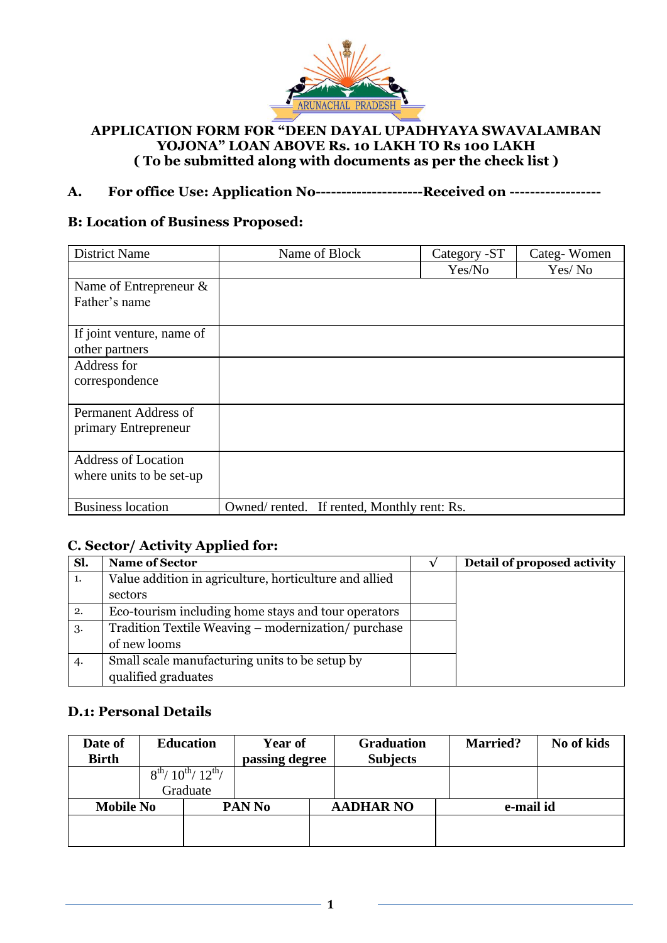

#### **APPLICATION FORM FOR "DEEN DAYAL UPADHYAYA SWAVALAMBAN YOJONA" LOAN ABOVE Rs. 10 LAKH TO Rs 100 LAKH ( To be submitted along with documents as per the check list )**

**A. For office Use: Application No---------------------Received on ------------------**

#### **B: Location of Business Proposed:**

| <b>District Name</b>       | Name of Block                               | Category -ST | Categ-Women |
|----------------------------|---------------------------------------------|--------------|-------------|
|                            |                                             | Yes/No       | Yes/No      |
| Name of Entrepreneur $\&$  |                                             |              |             |
| Father's name              |                                             |              |             |
|                            |                                             |              |             |
| If joint venture, name of  |                                             |              |             |
| other partners             |                                             |              |             |
| Address for                |                                             |              |             |
| correspondence             |                                             |              |             |
|                            |                                             |              |             |
| Permanent Address of       |                                             |              |             |
| primary Entrepreneur       |                                             |              |             |
|                            |                                             |              |             |
| <b>Address of Location</b> |                                             |              |             |
| where units to be set-up   |                                             |              |             |
|                            |                                             |              |             |
| <b>Business location</b>   | Owned/ rented. If rented, Monthly rent: Rs. |              |             |

#### **C. Sector/ Activity Applied for:**

| Sl. | <b>Name of Sector</b>                                  | Detail of proposed activity |
|-----|--------------------------------------------------------|-----------------------------|
| 1.  | Value addition in agriculture, horticulture and allied |                             |
|     | sectors                                                |                             |
| 2.  | Eco-tourism including home stays and tour operators    |                             |
| 3.  | Tradition Textile Weaving - modernization/purchase     |                             |
|     | of new looms                                           |                             |
| 4.  | Small scale manufacturing units to be setup by         |                             |
|     | qualified graduates                                    |                             |

#### **D.1: Personal Details**

| Date of<br><b>Birth</b> |  | <b>Education</b>                        | <b>Year of</b><br>passing degree |  | <b>Graduation</b><br><b>Subjects</b> | <b>Married?</b> | No of kids |
|-------------------------|--|-----------------------------------------|----------------------------------|--|--------------------------------------|-----------------|------------|
|                         |  | $8^{th}/ 10^{th}/ 12^{th}/$<br>Graduate |                                  |  |                                      |                 |            |
| <b>Mobile No</b>        |  |                                         | PAN No                           |  | <b>AADHAR NO</b>                     | e-mail id       |            |
|                         |  |                                         |                                  |  |                                      |                 |            |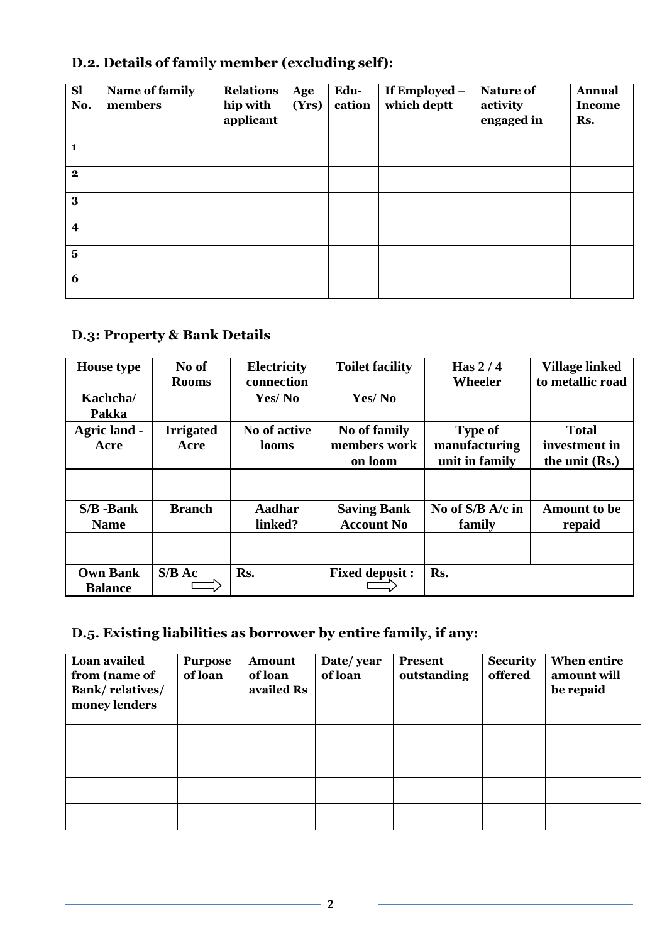# **D.2. Details of family member (excluding self):**

| <b>Sl</b><br>No.        | Name of family<br>members | <b>Relations</b><br>hip with<br>applicant | Age<br>(Yrs) | Edu-<br>cation | If Employed -<br>which deptt | Nature of<br>activity<br>engaged in | <b>Annual</b><br><b>Income</b><br>Rs. |
|-------------------------|---------------------------|-------------------------------------------|--------------|----------------|------------------------------|-------------------------------------|---------------------------------------|
| 1                       |                           |                                           |              |                |                              |                                     |                                       |
| $\mathbf{2}$            |                           |                                           |              |                |                              |                                     |                                       |
| 3                       |                           |                                           |              |                |                              |                                     |                                       |
| $\overline{4}$          |                           |                                           |              |                |                              |                                     |                                       |
| $\overline{\mathbf{5}}$ |                           |                                           |              |                |                              |                                     |                                       |
| 6                       |                           |                                           |              |                |                              |                                     |                                       |

# **D.3: Property & Bank Details**

| <b>House</b> type                 | No of<br><b>Rooms</b>    | <b>Electricity</b><br>connection | <b>Toilet facility</b>                  | Has $2/4$<br><b>Wheeler</b>                       | <b>Village linked</b><br>to metallic road         |
|-----------------------------------|--------------------------|----------------------------------|-----------------------------------------|---------------------------------------------------|---------------------------------------------------|
| Kachcha/<br>Pakka                 |                          | Yes/No                           | Yes/No                                  |                                                   |                                                   |
| <b>Agric land -</b><br>Acre       | <b>Irrigated</b><br>Acre | No of active<br><b>looms</b>     | No of family<br>members work<br>on loom | <b>Type of</b><br>manufacturing<br>unit in family | <b>Total</b><br>investment in<br>the unit $(Rs.)$ |
|                                   |                          |                                  |                                         |                                                   |                                                   |
| $S/B - Bank$<br><b>Name</b>       | <b>Branch</b>            | Aadhar<br>linked?                | <b>Saving Bank</b><br><b>Account No</b> | No of S/B A/c in<br>family                        | <b>Amount to be</b><br>repaid                     |
|                                   |                          |                                  |                                         |                                                   |                                                   |
| <b>Own Bank</b><br><b>Balance</b> | $S/B$ Ac                 | Rs.                              | <b>Fixed deposit:</b>                   | Rs.                                               |                                                   |

# **D.5. Existing liabilities as borrower by entire family, if any:**

| Loan availed<br>from (name of<br><b>Bank/relatives/</b><br>money lenders | <b>Purpose</b><br>of loan | <b>Amount</b><br>of loan<br>availed Rs | Date/year<br>of loan | Present<br>outstanding | <b>Security</b><br>offered | When entire<br>amount will<br>be repaid |
|--------------------------------------------------------------------------|---------------------------|----------------------------------------|----------------------|------------------------|----------------------------|-----------------------------------------|
|                                                                          |                           |                                        |                      |                        |                            |                                         |
|                                                                          |                           |                                        |                      |                        |                            |                                         |
|                                                                          |                           |                                        |                      |                        |                            |                                         |
|                                                                          |                           |                                        |                      |                        |                            |                                         |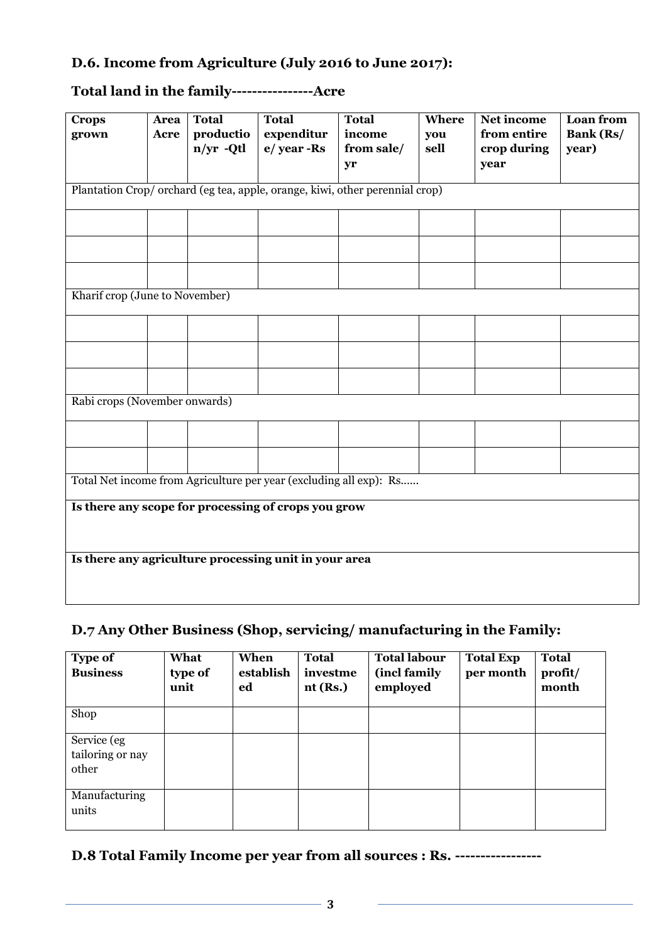#### **D.6. Income from Agriculture (July 2016 to June 2017):**

| <b>Crops</b><br>grown          | <b>Area</b><br>Acre | Total<br>productio<br>$n/yr$ -Qtl | <b>Total</b><br>expenditur<br>$e$ / year - $Rs$                              | <b>Total</b><br>income<br>from sale/<br>yr | Where<br>you<br>sell | Net income<br>from entire<br>crop during<br>year |
|--------------------------------|---------------------|-----------------------------------|------------------------------------------------------------------------------|--------------------------------------------|----------------------|--------------------------------------------------|
|                                |                     |                                   | Plantation Crop/ orchard (eg tea, apple, orange, kiwi, other perennial crop) |                                            |                      |                                                  |
|                                |                     |                                   |                                                                              |                                            |                      |                                                  |
|                                |                     |                                   |                                                                              |                                            |                      |                                                  |
|                                |                     |                                   |                                                                              |                                            |                      |                                                  |
| Kharif crop (June to November) |                     |                                   |                                                                              |                                            |                      |                                                  |

**Loan from Bank (Rs/ year)**

#### **Total land in the family----------------Acre**

# Rabi crops (November onwards) Total Net income from Agriculture per year (excluding all exp): Rs...... **Is there any scope for processing of crops you grow Is there any agriculture processing unit in your area**

## **D.7 Any Other Business (Shop, servicing/ manufacturing in the Family:**

| <b>Type of</b><br><b>Business</b>        | What<br>type of<br>unit | When<br>establish<br>ed | <b>Total</b><br>investme<br>nt(Rs.) | <b>Total labour</b><br>(incl family<br>employed | <b>Total Exp</b><br>per month | <b>Total</b><br>profit/<br>month |
|------------------------------------------|-------------------------|-------------------------|-------------------------------------|-------------------------------------------------|-------------------------------|----------------------------------|
| Shop                                     |                         |                         |                                     |                                                 |                               |                                  |
| Service (eg<br>tailoring or nay<br>other |                         |                         |                                     |                                                 |                               |                                  |
| Manufacturing<br>units                   |                         |                         |                                     |                                                 |                               |                                  |

**D.8 Total Family Income per year from all sources : Rs. -----------------**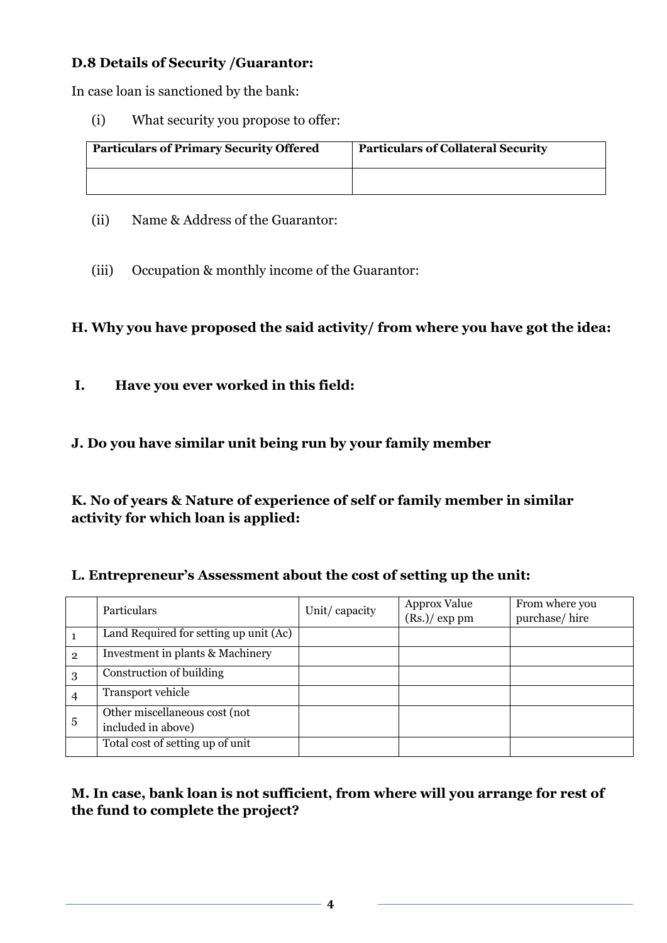## **D.8 Details of Security /Guarantor:**

In case loan is sanctioned by the bank:

(i) What security you propose to offer:

| <b>Particulars of Primary Security Offered</b> | <b>Particulars of Collateral Security</b> |
|------------------------------------------------|-------------------------------------------|
|                                                |                                           |

- (ii) Name & Address of the Guarantor:
- (iii) Occupation & monthly income of the Guarantor:

## **H. Why you have proposed the said activity/ from where you have got the idea:**

**I. Have you ever worked in this field:**

## **J. Do you have similar unit being run by your family member**

**K. No of years & Nature of experience of self or family member in similar activity for which loan is applied:**

## **L. Entrepreneur's Assessment about the cost of setting up the unit:**

|                | Particulars                            | Unit/capacity | <b>Approx Value</b><br>(Rs.)/ exp pm | From where you<br>purchase/hire |
|----------------|----------------------------------------|---------------|--------------------------------------|---------------------------------|
|                | Land Required for setting up unit (Ac) |               |                                      |                                 |
| $\overline{2}$ | Investment in plants & Machinery       |               |                                      |                                 |
| 3              | Construction of building               |               |                                      |                                 |
|                | Transport vehicle                      |               |                                      |                                 |
| 5              | Other miscellaneous cost (not          |               |                                      |                                 |
|                | included in above)                     |               |                                      |                                 |
|                | Total cost of setting up of unit       |               |                                      |                                 |

## **M. In case, bank loan is not sufficient, from where will you arrange for rest of the fund to complete the project?**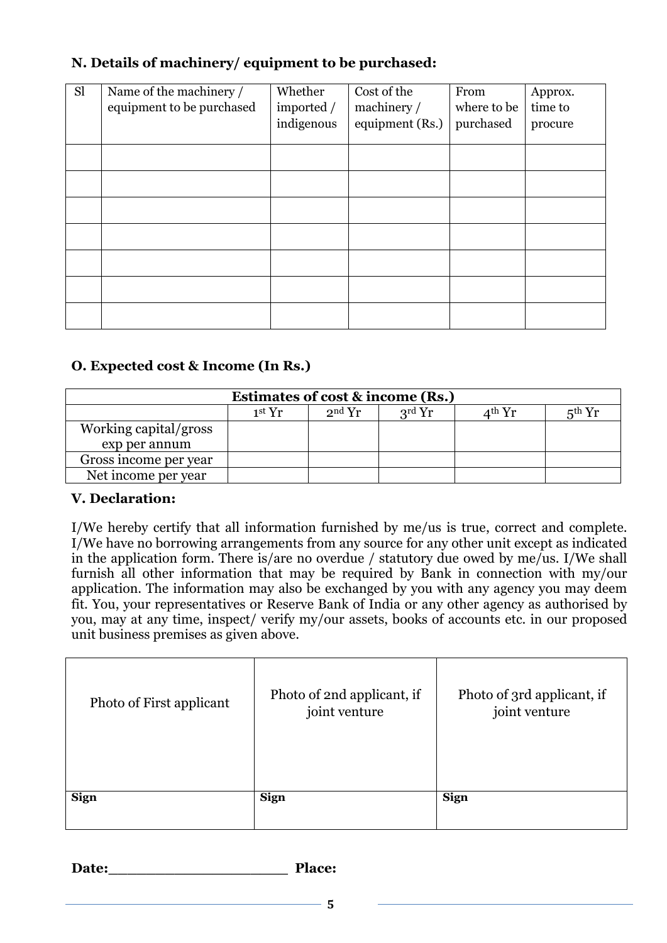#### **N. Details of machinery/ equipment to be purchased:**

| <b>Sl</b> | Name of the machinery /<br>equipment to be purchased | Whether<br>imported /<br>indigenous | Cost of the<br>machinery/<br>equipment (Rs.) | From<br>where to be<br>purchased | Approx.<br>time to<br>procure |
|-----------|------------------------------------------------------|-------------------------------------|----------------------------------------------|----------------------------------|-------------------------------|
|           |                                                      |                                     |                                              |                                  |                               |
|           |                                                      |                                     |                                              |                                  |                               |
|           |                                                      |                                     |                                              |                                  |                               |
|           |                                                      |                                     |                                              |                                  |                               |
|           |                                                      |                                     |                                              |                                  |                               |
|           |                                                      |                                     |                                              |                                  |                               |
|           |                                                      |                                     |                                              |                                  |                               |

## **O. Expected cost & Income (In Rs.)**

| Estimates of cost & income (Rs.)                                 |  |  |  |  |  |  |  |  |  |
|------------------------------------------------------------------|--|--|--|--|--|--|--|--|--|
| $2nd$ Yr<br>$2^{\text{rd}}$ Yr<br>$5th$ Yr<br>$1st$ Yr<br>⊿th Yr |  |  |  |  |  |  |  |  |  |
| Working capital/gross                                            |  |  |  |  |  |  |  |  |  |
| exp per annum                                                    |  |  |  |  |  |  |  |  |  |
| Gross income per year                                            |  |  |  |  |  |  |  |  |  |
| Net income per year                                              |  |  |  |  |  |  |  |  |  |

#### **V. Declaration:**

I/We hereby certify that all information furnished by me/us is true, correct and complete. I/We have no borrowing arrangements from any source for any other unit except as indicated in the application form. There is/are no overdue / statutory due owed by me/us. I/We shall furnish all other information that may be required by Bank in connection with my/our application. The information may also be exchanged by you with any agency you may deem fit. You, your representatives or Reserve Bank of India or any other agency as authorised by you, may at any time, inspect/ verify my/our assets, books of accounts etc. in our proposed unit business premises as given above.

| Photo of First applicant | Photo of 2nd applicant, if<br>joint venture | Photo of 3rd applicant, if<br>joint venture |
|--------------------------|---------------------------------------------|---------------------------------------------|
| <b>Sign</b>              | <b>Sign</b>                                 | <b>Sign</b>                                 |

Date: **Date: Place: Place:** 

**5**